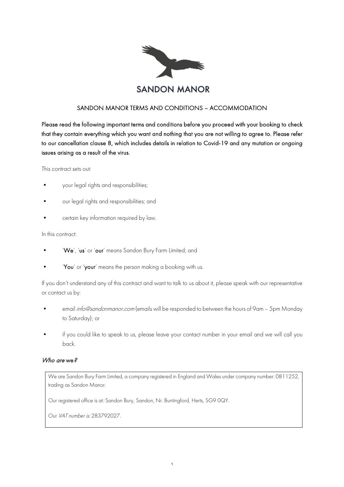

# SANDON MANOR TERMS AND CONDITIONS – ACCOMMODATION

Please read the following important terms and conditions before you proceed with your booking to check that they contain everything which you want and nothing that you are not willing to agree to. Please refer to our cancellation clause 8, which includes details in relation to Covid-19 and any mutation or ongoing issues arising as a result of the virus.

This contract sets out:

- your legal rights and responsibilities;
- our legal rights and responsibilities; and
- certain key information required by law.

In this contract:

- 'We', 'us' or 'our' means Sandon Bury Farm Limited; and
- 'You' or 'your' means the person making a booking with us.

If you don't understand any of this contract and want to talk to us about it, please speak with our representative or contact us by:

- email info@sandonmanor.com (emails will be responded to between the hours of 9am 5pm Monday to Saturday); or
- if you could like to speak to us, please leave your contact number in your email and we will call you back.

#### Who are we?

We are Sandon Bury Farm Limited, a company registered in England and Wales under company number: 0811252, trading as Sandon Manor.

Our registered office is at: Sandon Bury, Sandon, Nr. Buntingford, Herts, SG9 0QY.

Our VAT number is: 283792027.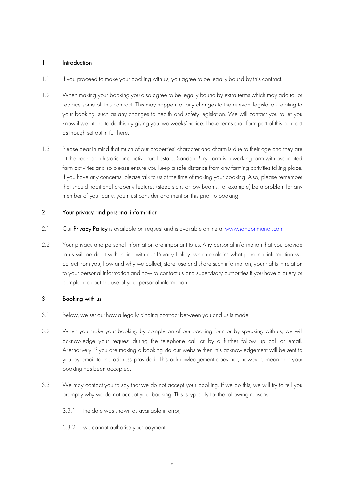#### 1 Introduction

- 1.1 If you proceed to make your booking with us, you agree to be legally bound by this contract.
- 1.2 When making your booking you also agree to be legally bound by extra terms which may add to, or replace some of, this contract. This may happen for any changes to the relevant legislation relating to your booking, such as any changes to health and safety legislation. We will contact you to let you know if we intend to do this by giving you two weeks' notice. These terms shall form part of this contract as though set out in full here.
- 1.3 Please bear in mind that much of our properties' character and charm is due to their age and they are at the heart of a historic and active rural estate. Sandon Bury Farm is a working farm with associated farm activities and so please ensure you keep a safe distance from any farming activities taking place. If you have any concerns, please talk to us at the time of making your booking. Also, please remember that should traditional property features (steep stairs or low beams, for example) be a problem for any member of your party, you must consider and mention this prior to booking.

## 2 Your privacy and personal information

- 2.1 Our Privacy Policy is available on request and is available online at www.sandonmanor.com
- 2.2 Your privacy and personal information are important to us. Any personal information that you provide to us will be dealt with in line with our Privacy Policy, which explains what personal information we collect from you, how and why we collect, store, use and share such information, your rights in relation to your personal information and how to contact us and supervisory authorities if you have a query or complaint about the use of your personal information.

## 3 Booking with us

- 3.1 Below, we set out how a legally binding contract between you and us is made.
- 3.2 When you make your booking by completion of our booking form or by speaking with us, we will acknowledge your request during the telephone call or by a further follow up call or email. Alternatively, if you are making a booking via our website then this acknowledgement will be sent to you by email to the address provided. This acknowledgement does not, however, mean that your booking has been accepted.
- 3.3 We may contact you to say that we do not accept your booking. If we do this, we will try to tell you promptly why we do not accept your booking. This is typically for the following reasons:
	- 3.3.1 the date was shown as available in error;
	- 3.3.2 we cannot authorise your payment;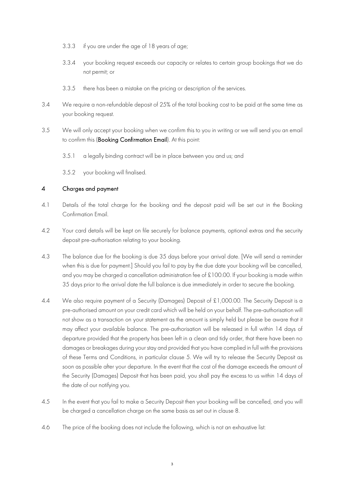- 3.3.3 if you are under the age of 18 years of age;
- 3.3.4 your booking request exceeds our capacity or relates to certain group bookings that we do not permit; or
- 3.3.5 there has been a mistake on the pricing or description of the services.
- 3.4 We require a non-refundable deposit of 25% of the total booking cost to be paid at the same time as your booking request.
- 3.5 We will only accept your booking when we confirm this to you in writing or we will send you an email to confirm this (Booking Confirmation Email). At this point:
	- 3.5.1 a legally binding contract will be in place between you and us; and
	- 3.5.2 your booking will finalised.

## 4 Charges and payment

- 4.1 Details of the total charge for the booking and the deposit paid will be set out in the Booking Confirmation Email.
- 4.2 Your card details will be kept on file securely for balance payments, optional extras and the security deposit pre-authorisation relating to your booking.
- 4.3 The balance due for the booking is due 35 days before your arrival date. [We will send a reminder when this is due for payment.] Should you fail to pay by the due date your booking will be cancelled, and you may be charged a cancellation administration fee of £100.00. If your booking is made within 35 days prior to the arrival date the full balance is due immediately in order to secure the booking.
- 4.4 We also require payment of a Security (Damages) Deposit of £1,000.00. The Security Deposit is a pre-authorised amount on your credit card which will be held on your behalf. The pre-authorisation will not show as a transaction on your statement as the amount is simply held but please be aware that it may affect your available balance. The pre-authorisation will be released in full within 14 days of departure provided that the property has been left in a clean and tidy order, that there have been no damages or breakages during your stay and provided that you have complied in full with the provisions of these Terms and Conditions, in particular clause 5. We will try to release the Security Deposit as soon as possible after your departure. In the event that the cost of the damage exceeds the amount of the Security (Damages) Deposit that has been paid, you shall pay the excess to us within 14 days of the date of our notifying you.
- 4.5 In the event that you fail to make a Security Deposit then your booking will be cancelled, and you will be charged a cancellation charge on the same basis as set out in clause 8.
- 4.6 The price of the booking does not include the following, which is not an exhaustive list: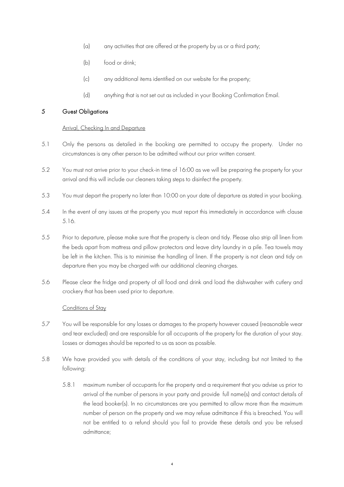- (a) any activities that are offered at the property by us or a third party;
- (b) food or drink;
- (c) any additional items identified on our website for the property;
- (d) anything that is not set out as included in your Booking Confirmation Email.

### 5 Guest Obligations

#### Arrival, Checking In and Departure

- 5.1 Only the persons as detailed in the booking are permitted to occupy the property. Under no circumstances is any other person to be admitted without our prior written consent.
- 5.2 You must not arrive prior to your check-in time of 16:00 as we will be preparing the property for your arrival and this will include our cleaners taking steps to disinfect the property.
- 5.3 You must depart the property no later than 10:00 on your date of departure as stated in your booking.
- 5.4 In the event of any issues at the property you must report this immediately in accordance with clause 5.16.
- 5.5 Prior to departure, please make sure that the property is clean and tidy. Please also strip all linen from the beds apart from mattress and pillow protectors and leave dirty laundry in a pile. Tea towels may be left in the kitchen. This is to minimise the handling of linen. If the property is not clean and tidy on departure then you may be charged with our additional cleaning charges.
- 5.6 Please clear the fridge and property of all food and drink and load the dishwasher with cutlery and crockery that has been used prior to departure.

#### Conditions of Stay

- 5.7 You will be responsible for any losses or damages to the property however caused (reasonable wear and tear excluded) and are responsible for all occupants of the property for the duration of your stay. Losses or damages should be reported to us as soon as possible.
- 5.8 We have provided you with details of the conditions of your stay, including but not limited to the following:
	- 5.8.1 maximum number of occupants for the property and a requirement that you advise us prior to arrival of the number of persons in your party and provide full name(s) and contact details of the lead booker(s). In no circumstances are you permitted to allow more than the maximum number of person on the property and we may refuse admittance if this is breached. You will not be entitled to a refund should you fail to provide these details and you be refused admittance;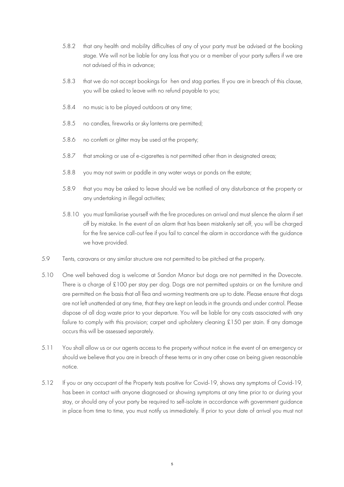- 5.8.2 that any health and mobility difficulties of any of your party must be advised at the booking stage. We will not be liable for any loss that you or a member of your party suffers if we are not advised of this in advance;
- 5.8.3 that we do not accept bookings for hen and stag parties. If you are in breach of this clause, you will be asked to leave with no refund payable to you;
- 5.8.4 no music is to be played outdoors at any time;
- 5.8.5 no candles, fireworks or sky lanterns are permitted;
- 5.8.6 no confetti or glitter may be used at the property;
- 5.8.7 that smoking or use of e-cigarettes is not permitted other than in designated areas;
- 5.8.8 you may not swim or paddle in any water ways or ponds on the estate;
- 5.8.9 that you may be asked to leave should we be notified of any disturbance at the property or any undertaking in illegal activities;
- 5.8.10 you must familiarise yourself with the fire procedures on arrival and must silence the alarm if set off by mistake. In the event of an alarm that has been mistakenly set off, you will be charged for the fire service call-out fee if you fail to cancel the alarm in accordance with the guidance we have provided.
- 5.9 Tents, caravans or any similar structure are not permitted to be pitched at the property.
- 5.10 One well behaved dog is welcome at Sandon Manor but dogs are not permitted in the Dovecote. There is a charge of £100 per stay per dog. Dogs are not permitted upstairs or on the furniture and are permitted on the basis that all flea and worming treatments are up to date. Please ensure that dogs are not left unattended at any time, that they are kept on leads in the grounds and under control. Please dispose of all dog waste prior to your departure. You will be liable for any costs associated with any failure to comply with this provision; carpet and upholstery cleaning £150 per stain. If any damage occurs this will be assessed separately.
- 5.11 You shall allow us or our agents access to the property without notice in the event of an emergency or should we believe that you are in breach of these terms or in any other case on being given reasonable notice.
- 5.12 If you or any occupant of the Property tests positive for Covid-19, shows any symptoms of Covid-19, has been in contact with anyone diagnosed or showing symptoms at any time prior to or during your stay, or should any of your party be required to self-isolate in accordance with government guidance in place from time to time, you must notify us immediately. If prior to your date of arrival you must not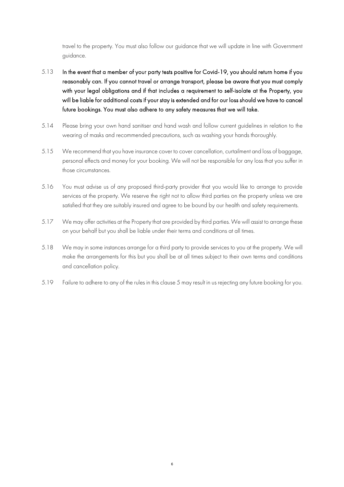travel to the property. You must also follow our guidance that we will update in line with Government guidance.

- 5.13 In the event that a member of your party tests positive for Covid-19, you should return home if you reasonably can. If you cannot travel or arrange transport, please be aware that you must comply with your legal obligations and if that includes a requirement to self-isolate at the Property, you will be liable for additional costs if your stay is extended and for our loss should we have to cancel future bookings. You must also adhere to any safety measures that we will take.
- 5.14 Please bring your own hand sanitiser and hand wash and follow current guidelines in relation to the wearing of masks and recommended precautions, such as washing your hands thoroughly.
- 5.15 We recommend that you have insurance cover to cover cancellation, curtailment and loss of baggage, personal effects and money for your booking. We will not be responsible for any loss that you suffer in those circumstances.
- 5.16 You must advise us of any proposed third-party provider that you would like to arrange to provide services at the property. We reserve the right not to allow third parties on the property unless we are satisfied that they are suitably insured and agree to be bound by our health and safety requirements.
- 5.17 We may offer activities at the Property that are provided by third parties. We will assist to arrange these on your behalf but you shall be liable under their terms and conditions at all times.
- 5.18 We may in some instances arrange for a third party to provide services to you at the property. We will make the arrangements for this but you shall be at all times subject to their own terms and conditions and cancellation policy.
- 5.19 Failure to adhere to any of the rules in this clause 5 may result in us rejecting any future booking for you.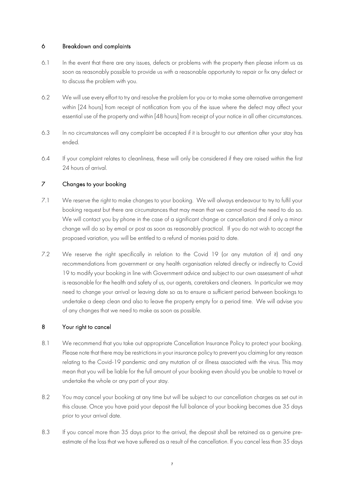## 6 Breakdown and complaints

- 6.1 In the event that there are any issues, defects or problems with the property then please inform us as soon as reasonably possible to provide us with a reasonable opportunity to repair or fix any defect or to discuss the problem with you.
- 6.2 We will use every effort to try and resolve the problem for you or to make some alternative arrangement within [24 hours] from receipt of notification from you of the issue where the defect may affect your essential use of the property and within [48 hours] from receipt of your notice in all other circumstances.
- 6.3 In no circumstances will any complaint be accepted if it is brought to our attention after your stay has ended.
- 6.4 If your complaint relates to cleanliness, these will only be considered if they are raised within the first 24 hours of arrival.

## 7 Changes to your booking

- 7.1 We reserve the right to make changes to your booking. We will always endeavour to try to fulfil your booking request but there are circumstances that may mean that we cannot avoid the need to do so. We will contact you by phone in the case of a significant change or cancellation and if only a minor change will do so by email or post as soon as reasonably practical. If you do not wish to accept the proposed variation, you will be entitled to a refund of monies paid to date.
- 7.2 We reserve the right specifically in relation to the Covid 19 (or any mutation of it) and any recommendations from government or any health organisation related directly or indirectly to Covid 19 to modify your booking in line with Government advice and subject to our own assessment of what is reasonable for the health and safety of us, our agents, caretakers and cleaners. In particular we may need to change your arrival or leaving date so as to ensure a sufficient period between bookings to undertake a deep clean and also to leave the property empty for a period time. We will advise you of any changes that we need to make as soon as possible.

# 8 Your right to cancel

- 8.1 We recommend that you take out appropriate Cancellation Insurance Policy to protect your booking. Please note that there may be restrictions in your insurance policy to prevent you claiming for any reason relating to the Covid-19 pandemic and any mutation of or illness associated with the virus. This may mean that you will be liable for the full amount of your booking even should you be unable to travel or undertake the whole or any part of your stay.
- 8.2 You may cancel your booking at any time but will be subject to our cancellation charges as set out in this clause. Once you have paid your deposit the full balance of your booking becomes due 35 days prior to your arrival date.
- 8.3 If you cancel more than 35 days prior to the arrival, the deposit shall be retained as a genuine preestimate of the loss that we have suffered as a result of the cancellation. If you cancel less than 35 days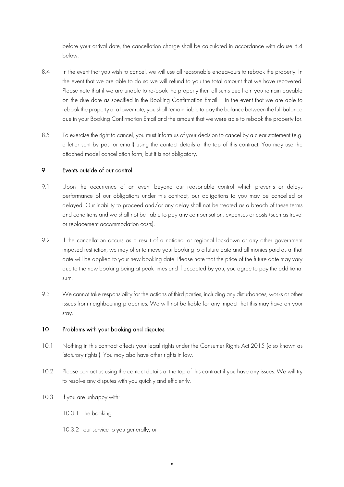before your arrival date, the cancellation charge shall be calculated in accordance with clause 8.4 below.

- 8.4 In the event that you wish to cancel, we will use all reasonable endeavours to rebook the property. In the event that we are able to do so we will refund to you the total amount that we have recovered. Please note that if we are unable to re-book the property then all sums due from you remain payable on the due date as specified in the Booking Confirmation Email. In the event that we are able to rebook the property at a lower rate, you shall remain liable to pay the balance between the full balance due in your Booking Confirmation Email and the amount that we were able to rebook the property for.
- 8.5 To exercise the right to cancel, you must inform us of your decision to cancel by a clear statement (e.g. a letter sent by post or email) using the contact details at the top of this contract. You may use the attached model cancellation form, but it is not obligatory.

#### 9 Events outside of our control

- 9.1 Upon the occurrence of an event beyond our reasonable control which prevents or delays performance of our obligations under this contract, our obligations to you may be cancelled or delayed. Our inability to proceed and/or any delay shall not be treated as a breach of these terms and conditions and we shall not be liable to pay any compensation, expenses or costs (such as travel or replacement accommodation costs).
- 9.2 If the cancellation occurs as a result of a national or regional lockdown or any other government imposed restriction, we may offer to move your booking to a future date and all monies paid as at that date will be applied to your new booking date. Please note that the price of the future date may vary due to the new booking being at peak times and if accepted by you, you agree to pay the additional sum.
- 9.3 We cannot take responsibility for the actions of third parties, including any disturbances, works or other issues from neighbouring properties. We will not be liable for any impact that this may have on your stay.

#### 10 Problems with your booking and disputes

- 10.1 Nothing in this contract affects your legal rights under the Consumer Rights Act 2015 (also known as 'statutory rights'). You may also have other rights in law.
- 10.2 Please contact us using the contact details at the top of this contract if you have any issues. We will try to resolve any disputes with you quickly and efficiently.
- 10.3 If you are unhappy with:
	- 10.3.1 the booking;
	- 10.3.2 our service to you generally; or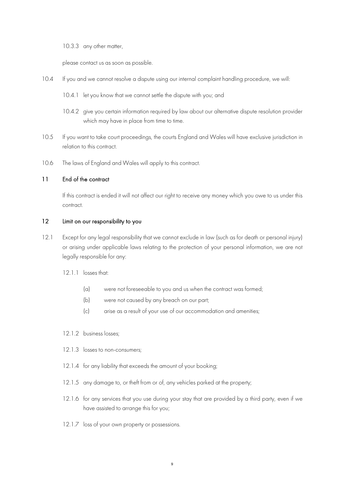10.3.3 any other matter,

please contact us as soon as possible.

- 10.4 If you and we cannot resolve a dispute using our internal complaint handling procedure, we will:
	- 10.4.1 let you know that we cannot settle the dispute with you; and
	- 10.4.2 give you certain information required by law about our alternative dispute resolution provider which may have in place from time to time.
- 10.5 If you want to take court proceedings, the courts England and Wales will have exclusive jurisdiction in relation to this contract.
- 10.6 The laws of England and Wales will apply to this contract.

#### 11 End of the contract

If this contract is ended it will not affect our right to receive any money which you owe to us under this contract.

#### 12 Limit on our responsibility to you

- 12.1 Except for any legal responsibility that we cannot exclude in law (such as for death or personal injury) or arising under applicable laws relating to the protection of your personal information, we are not legally responsible for any:
	- 12.1.1 losses that:
		- (a) were not foreseeable to you and us when the contract was formed;
		- (b) were not caused by any breach on our part;
		- (c) arise as a result of your use of our accommodation and amenities;
	- 12.1.2 business losses;
	- 12.1.3 losses to non-consumers:
	- 12.1.4 for any liability that exceeds the amount of your booking;
	- 12.1.5 any damage to, or theft from or of, any vehicles parked at the property;
	- 12.1.6 for any services that you use during your stay that are provided by a third party, even if we have assisted to arrange this for you;
	- 12.1.7 loss of your own property or possessions.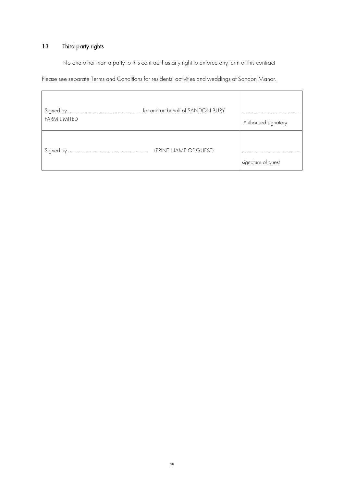# 13 Third party rights

No one other than a party to this contract has any right to enforce any term of this contract

Please see separate Terms and Conditions for residents' activities and weddings at Sandon Manor.

| <b>FARM LIMITED</b>   | Authorised signatory |
|-----------------------|----------------------|
| (PRINT NAME OF GUEST) | signature of guest   |